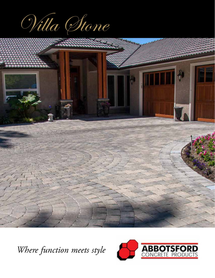Villa Stone



*Where function meets style*